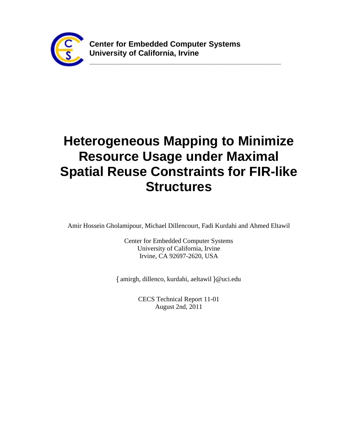

**\_\_\_\_\_\_\_\_\_\_\_\_\_\_\_\_\_\_\_\_\_\_\_\_\_\_\_\_\_\_\_\_\_\_\_\_\_\_\_\_\_\_\_\_\_\_\_\_\_\_\_\_**

# **Heterogeneous Mapping to Minimize Resource Usage under Maximal Spatial Reuse Constraints for FIR-like Structures**

Amir Hossein Gholamipour, Michael Dillencourt, Fadi Kurdahi and Ahmed Eltawil

Center for Embedded Computer Systems University of California, Irvine Irvine, CA 92697-2620, USA

{ amirgh, dillenco, kurdahi, aeltawil }@uci.edu

CECS Technical Report 11-01 August 2nd, 2011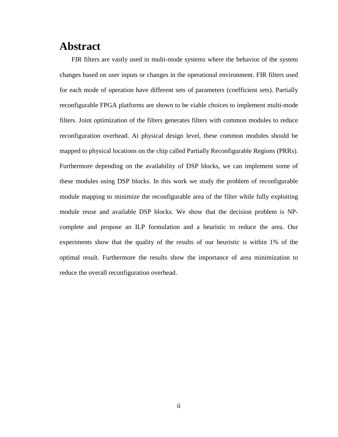### **Abstract**

FIR filters are vastly used in multi-mode systems where the behavior of the system changes based on user inputs or changes in the operational environment. FIR filters used for each mode of operation have different sets of parameters (coefficient sets). Partially reconfigurable FPGA platforms are shown to be viable choices to implement multi-mode filters. Joint optimization of the filters generates filters with common modules to reduce reconfiguration overhead. At physical design level, these common modules should be mapped to physical locations on the chip called Partially Reconfigurable Regions (PRRs). Furthermore depending on the availability of DSP blocks, we can implement some of these modules using DSP blocks. In this work we study the problem of reconfigurable module mapping to minimize the reconfigurable area of the filter while fully exploiting module reuse and available DSP blocks. We show that the decision problem is NPcomplete and propose an ILP formulation and a heuristic to reduce the area. Our experiments show that the quality of the results of our heuristic is within 1% of the optimal result. Furthermore the results show the importance of area minimization to reduce the overall reconfiguration overhead.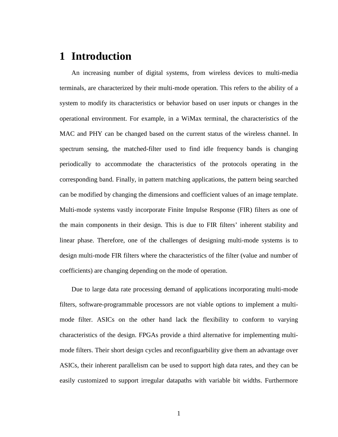# **1 Introduction**

An increasing number of digital systems, from wireless devices to multi-media terminals, are characterized by their multi-mode operation. This refers to the ability of a system to modify its characteristics or behavior based on user inputs or changes in the operational environment. For example, in a WiMax terminal, the characteristics of the MAC and PHY can be changed based on the current status of the wireless channel. In spectrum sensing, the matched-filter used to find idle frequency bands is changing periodically to accommodate the characteristics of the protocols operating in the corresponding band. Finally, in pattern matching applications, the pattern being searched can be modified by changing the dimensions and coefficient values of an image template. Multi-mode systems vastly incorporate Finite Impulse Response (FIR) filters as one of the main components in their design. This is due to FIR filters' inherent stability and linear phase. Therefore, one of the challenges of designing multi-mode systems is to design multi-mode FIR filters where the characteristics of the filter (value and number of coefficients) are changing depending on the mode of operation.

Due to large data rate processing demand of applications incorporating multi-mode filters, software-programmable processors are not viable options to implement a multimode filter. ASICs on the other hand lack the flexibility to conform to varying characteristics of the design. FPGAs provide a third alternative for implementing multimode filters. Their short design cycles and reconfiguarbility give them an advantage over ASICs, their inherent parallelism can be used to support high data rates, and they can be easily customized to support irregular datapaths with variable bit widths. Furthermore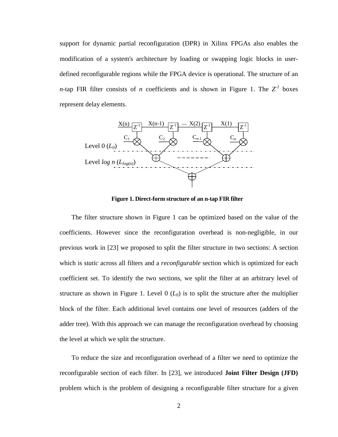support for dynamic partial reconfiguration (DPR) in Xilinx FPGAs also enables the modification of a system's architecture by loading or swapping logic blocks in userdefined reconfigurable regions while the FPGA device is operational. The structure of an *n*-tap FIR filter consists of *n* coefficients and is shown in [Figure 1.](#page-3-0) The  $Z^1$  boxes represent delay elements.



**Figure 1. Direct-form structure of an n-tap FIR filter**

<span id="page-3-0"></span>The filter structure shown in [Figure 1](#page-3-0) can be optimized based on the value of the coefficients. However since the reconfiguration overhead is non-negligible, in our previous work in [\[23\]](#page-45-0) we proposed to split the filter structure in two sections: A section which is *static* across all filters and a *reconfigurable* section which is optimized for each coefficient set. To identify the two sections, we split the filter at an arbitrary level of structure as shown in [Figure 1.](#page-3-0) Level  $0$  ( $L_0$ ) is to split the structure after the multiplier block of the filter. Each additional level contains one level of resources (adders of the adder tree). With this approach we can manage the reconfiguration overhead by choosing the level at which we split the structure.

To reduce the size and reconfiguration overhead of a filter we need to optimize the reconfigurable section of each filter. In [\[23\],](#page-45-0) we introduced **Joint Filter Design (JFD)** problem which is the problem of designing a reconfigurable filter structure for a given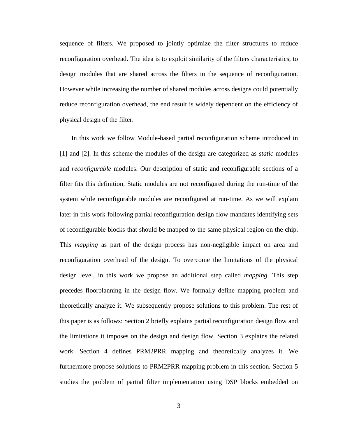sequence of filters. We proposed to jointly optimize the filter structures to reduce reconfiguration overhead. The idea is to exploit similarity of the filters characteristics, to design modules that are shared across the filters in the sequence of reconfiguration. However while increasing the number of shared modules across designs could potentially reduce reconfiguration overhead, the end result is widely dependent on the efficiency of physical design of the filter.

In this work we follow Module-based partial reconfiguration scheme introduced in [\[1\]](#page-43-0) and [\[2\].](#page-43-1) In this scheme the modules of the design are categorized as *static* modules and *reconfigurable* modules. Our description of static and reconfigurable sections of a filter fits this definition. Static modules are not reconfigured during the run-time of the system while reconfigurable modules are reconfigured at run-time. As we will explain later in this work following partial reconfiguration design flow mandates identifying sets of reconfigurable blocks that should be mapped to the same physical region on the chip. This *mapping* as part of the design process has non-negligible impact on area and reconfiguration overhead of the design. To overcome the limitations of the physical design level, in this work we propose an additional step called *mapping*. This step precedes floorplanning in the design flow. We formally define mapping problem and theoretically analyze it. We subsequently propose solutions to this problem. The rest of this paper is as follows: Section [2](#page-5-0) briefly explains partial reconfiguration design flow and the limitations it imposes on the design and design flow. Section [3](#page-8-0) explains the related work. Section [4](#page-10-0) defines PRM2PRR mapping and theoretically analyzes it. We furthermore propose solutions to PRM2PRR mapping problem in this section. Section [5](#page-18-0) studies the problem of partial filter implementation using DSP blocks embedded on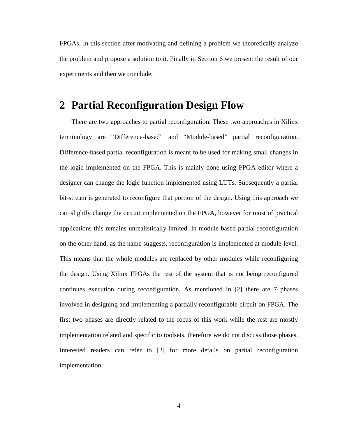FPGAs. In this section after motivating and defining a problem we theoretically analyze the problem and propose a solution to it. Finally in Section [6](#page-30-0) we present the result of our experiments and then we conclude.

## <span id="page-5-0"></span>**2 Partial Reconfiguration Design Flow**

There are two approaches to partial reconfiguration. These two approaches in Xilinx terminology are "Difference-based" and "Module-based" partial reconfiguration. Difference-based partial reconfiguration is meant to be used for making small changes in the logic implemented on the FPGA. This is mainly done using FPGA editor where a designer can change the logic function implemented using LUTs. Subsequently a partial bit-stream is generated to reconfigure that portion of the design. Using this approach we can slightly change the circuit implemented on the FPGA, however for most of practical applications this remains unrealistically limited. In module-based partial reconfiguration on the other hand, as the name suggests, reconfiguration is implemented at module-level. This means that the whole modules are replaced by other modules while reconfiguring the design. Using Xilinx FPGAs the rest of the system that is not being reconfigured continues execution during reconfiguration. As mentioned in [\[2\]](#page-43-1) there are 7 phases involved in designing and implementing a partially reconfigurable circuit on FPGA. The first two phases are directly related to the focus of this work while the rest are mostly implementation related and specific to toolsets, therefore we do not discuss those phases. Interested readers can refer to [\[2\]](#page-43-1) for more details on partial reconfiguration implementation.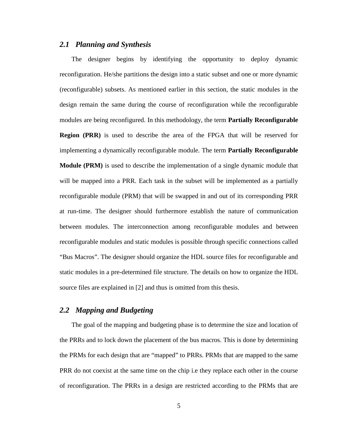#### *2.1 Planning and Synthesis*

The designer begins by identifying the opportunity to deploy dynamic reconfiguration. He/she partitions the design into a static subset and one or more dynamic (reconfigurable) subsets. As mentioned earlier in this section, the static modules in the design remain the same during the course of reconfiguration while the reconfigurable modules are being reconfigured. In this methodology, the term **Partially Reconfigurable Region (PRR)** is used to describe the area of the FPGA that will be reserved for implementing a dynamically reconfigurable module. The term **Partially Reconfigurable Module (PRM)** is used to describe the implementation of a single dynamic module that will be mapped into a PRR. Each task in the subset will be implemented as a partially reconfigurable module (PRM) that will be swapped in and out of its corresponding PRR at run-time. The designer should furthermore establish the nature of communication between modules. The interconnection among reconfigurable modules and between reconfigurable modules and static modules is possible through specific connections called "Bus Macros". The designer should organize the HDL source files for reconfigurable and static modules in a pre-determined file structure. The details on how to organize the HDL source files are explained in [\[2\]](#page-43-1) and thus is omitted from this thesis.

### *2.2 Mapping and Budgeting*

The goal of the mapping and budgeting phase is to determine the size and location of the PRRs and to lock down the placement of the bus macros. This is done by determining the PRMs for each design that are "mapped" to PRRs. PRMs that are mapped to the same PRR do not coexist at the same time on the chip i.e they replace each other in the course of reconfiguration. The PRRs in a design are restricted according to the PRMs that are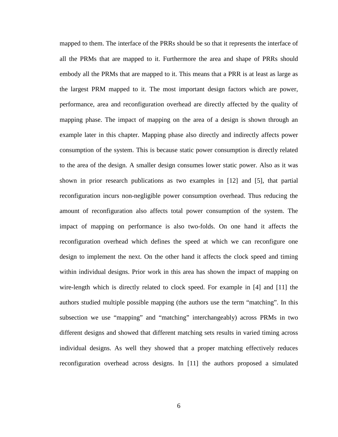mapped to them. The interface of the PRRs should be so that it represents the interface of all the PRMs that are mapped to it. Furthermore the area and shape of PRRs should embody all the PRMs that are mapped to it. This means that a PRR is at least as large as the largest PRM mapped to it. The most important design factors which are power, performance, area and reconfiguration overhead are directly affected by the quality of mapping phase. The impact of mapping on the area of a design is shown through an example later in this chapter. Mapping phase also directly and indirectly affects power consumption of the system. This is because static power consumption is directly related to the area of the design. A smaller design consumes lower static power. Also as it was shown in prior research publications as two examples in [\[12\]](#page-44-0) and [\[5\],](#page-43-2) that partial reconfiguration incurs non-negligible power consumption overhead. Thus reducing the amount of reconfiguration also affects total power consumption of the system. The impact of mapping on performance is also two-folds. On one hand it affects the reconfiguration overhead which defines the speed at which we can reconfigure one design to implement the next. On the other hand it affects the clock speed and timing within individual designs. Prior work in this area has shown the impact of mapping on wire-length which is directly related to clock speed. For example in [\[4\]](#page-43-3) and [\[11\]](#page-44-1) the authors studied multiple possible mapping (the authors use the term "matching". In this subsection we use "mapping" and "matching" interchangeably) across PRMs in two different designs and showed that different matching sets results in varied timing across individual designs. As well they showed that a proper matching effectively reduces reconfiguration overhead across designs. In [\[11\]](#page-44-1) the authors proposed a simulated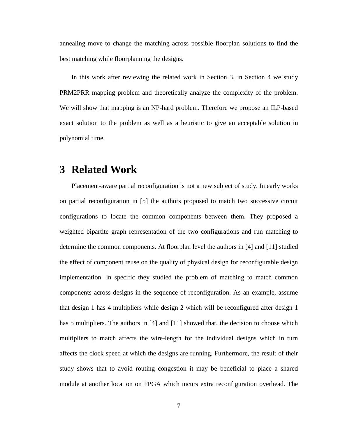annealing move to change the matching across possible floorplan solutions to find the best matching while floorplanning the designs.

In this work after reviewing the related work in Section [3,](#page-8-0) in Section [4](#page-10-0) we study PRM2PRR mapping problem and theoretically analyze the complexity of the problem. We will show that mapping is an NP-hard problem. Therefore we propose an ILP-based exact solution to the problem as well as a heuristic to give an acceptable solution in polynomial time.

### <span id="page-8-0"></span>**3 Related Work**

Placement-aware partial reconfiguration is not a new subject of study. In early works on partial reconfiguration in [\[5\]](#page-43-2) the authors proposed to match two successive circuit configurations to locate the common components between them. They proposed a weighted bipartite graph representation of the two configurations and run matching to determine the common components. At floorplan level the authors in [\[4\]](#page-43-3) and [\[11\]](#page-44-1) studied the effect of component reuse on the quality of physical design for reconfigurable design implementation. In specific they studied the problem of matching to match common components across designs in the sequence of reconfiguration. As an example, assume that design 1 has 4 multipliers while design 2 which will be reconfigured after design 1 has 5 multipliers. The authors in [\[4\]](#page-43-3) and [\[11\]](#page-44-1) showed that, the decision to choose which multipliers to match affects the wire-length for the individual designs which in turn affects the clock speed at which the designs are running. Furthermore, the result of their study shows that to avoid routing congestion it may be beneficial to place a shared module at another location on FPGA which incurs extra reconfiguration overhead. The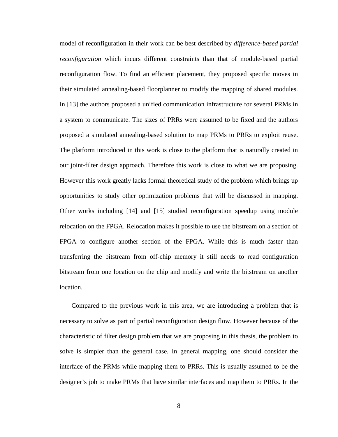model of reconfiguration in their work can be best described by *difference-based partial reconfiguration* which incurs different constraints than that of module-based partial reconfiguration flow. To find an efficient placement, they proposed specific moves in their simulated annealing-based floorplanner to modify the mapping of shared modules. In [\[13\]](#page-44-2) the authors proposed a unified communication infrastructure for several PRMs in a system to communicate. The sizes of PRRs were assumed to be fixed and the authors proposed a simulated annealing-based solution to map PRMs to PRRs to exploit reuse. The platform introduced in this work is close to the platform that is naturally created in our joint-filter design approach. Therefore this work is close to what we are proposing. However this work greatly lacks formal theoretical study of the problem which brings up opportunities to study other optimization problems that will be discussed in mapping. Other works including [\[14\]](#page-44-3) and [\[15\]](#page-44-4) studied reconfiguration speedup using module relocation on the FPGA. Relocation makes it possible to use the bitstream on a section of FPGA to configure another section of the FPGA. While this is much faster than transferring the bitstream from off-chip memory it still needs to read configuration bitstream from one location on the chip and modify and write the bitstream on another location.

Compared to the previous work in this area, we are introducing a problem that is necessary to solve as part of partial reconfiguration design flow. However because of the characteristic of filter design problem that we are proposing in this thesis, the problem to solve is simpler than the general case. In general mapping, one should consider the interface of the PRMs while mapping them to PRRs. This is usually assumed to be the designer's job to make PRMs that have similar interfaces and map them to PRRs. In the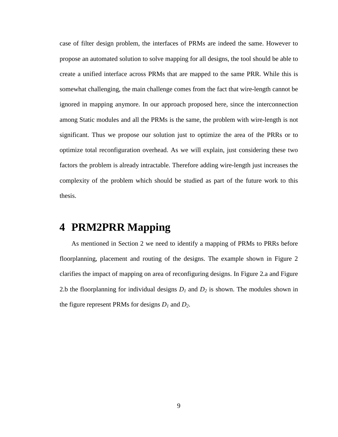case of filter design problem, the interfaces of PRMs are indeed the same. However to propose an automated solution to solve mapping for all designs, the tool should be able to create a unified interface across PRMs that are mapped to the same PRR. While this is somewhat challenging, the main challenge comes from the fact that wire-length cannot be ignored in mapping anymore. In our approach proposed here, since the interconnection among Static modules and all the PRMs is the same, the problem with wire-length is not significant. Thus we propose our solution just to optimize the area of the PRRs or to optimize total reconfiguration overhead. As we will explain, just considering these two factors the problem is already intractable. Therefore adding wire-length just increases the complexity of the problem which should be studied as part of the future work to this thesis.

# <span id="page-10-0"></span>**4 PRM2PRR Mapping**

As mentioned in Section [2](#page-5-0) we need to identify a mapping of PRMs to PRRs before floorplanning, placement and routing of the designs. The example shown in [Figure 2](#page-11-0) clarifies the impact of mapping on area of reconfiguring designs. In [Figure 2.](#page-11-0)a and [Figure](#page-11-0)  [2.](#page-11-0)b the floorplanning for individual designs  $D_1$  and  $D_2$  is shown. The modules shown in the figure represent PRMs for designs  $D_1$  and  $D_2$ .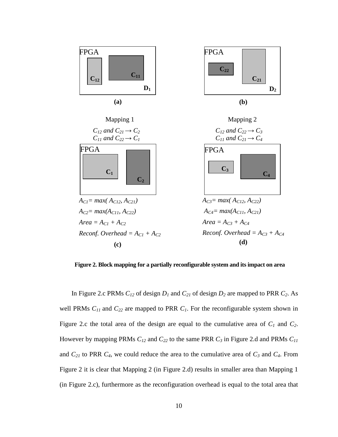

<span id="page-11-0"></span>**Figure 2. Block mapping for a partially reconfigurable system and its impact on area** 

In [Figure 2.](#page-11-0)c PRMs  $C_{12}$  of design  $D_1$  and  $C_{21}$  of design  $D_2$  are mapped to PRR  $C_2$ . As well PRMs  $C_{11}$  and  $C_{22}$  are mapped to PRR  $C_1$ . For the reconfigurable system shown in [Figure 2.](#page-11-0)c the total area of the design are equal to the cumulative area of *C1* and *C2*. However by mapping PRMs *C12* and *C22* to the same PRR *C3* in [Figure 2.](#page-11-0)d and PRMs *C11* and  $C_{21}$  to PRR  $C_4$ , we could reduce the area to the cumulative area of  $C_3$  and  $C_4$ . From [Figure 2](#page-11-0) it is clear that Mapping 2 (in [Figure 2.](#page-11-0)d) results in smaller area than Mapping 1 (in [Figure 2.](#page-11-0)c), furthermore as the reconfiguration overhead is equal to the total area that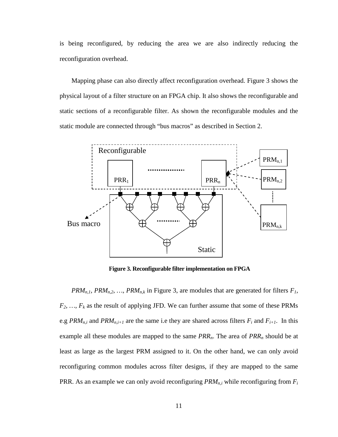is being reconfigured, by reducing the area we are also indirectly reducing the reconfiguration overhead.

Mapping phase can also directly affect reconfiguration overhead. [Figure 3](#page-12-0) shows the physical layout of a filter structure on an FPGA chip. It also shows the reconfigurable and static sections of a reconfigurable filter. As shown the reconfigurable modules and the static module are connected through "bus macros" as described in Section [2.](#page-5-0)



**Figure 3. Reconfigurable filter implementation on FPGA**

<span id="page-12-0"></span>*PRM<sub>n,1</sub>, PRM<sub>n,2</sub>, ..., PRM<sub>n,k</sub>* in [Figure 3,](#page-12-0) are modules that are generated for filters  $F_1$ , *F2, …, Fk* as the result of applying JFD. We can further assume that some of these PRMs e.g  $PRM_{n,i}$  and  $PRM_{n,i+1}$  are the same i.e they are shared across filters  $F_i$  and  $F_{i+1}$ . In this example all these modules are mapped to the same *PRRn*. The area of *PRRn* should be at least as large as the largest PRM assigned to it. On the other hand, we can only avoid reconfiguring common modules across filter designs, if they are mapped to the same PRR. As an example we can only avoid reconfiguring  $PRM_{n,i}$  while reconfiguring from  $F_i$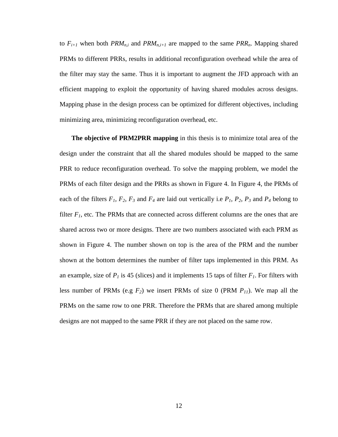to  $F_{i+1}$  when both  $PRM_{n,i}$  and  $PRM_{n,i+1}$  are mapped to the same  $PRR_n$ . Mapping shared PRMs to different PRRs, results in additional reconfiguration overhead while the area of the filter may stay the same. Thus it is important to augment the JFD approach with an efficient mapping to exploit the opportunity of having shared modules across designs. Mapping phase in the design process can be optimized for different objectives, including minimizing area, minimizing reconfiguration overhead, etc.

**The objective of PRM2PRR mapping** in this thesis is to minimize total area of the design under the constraint that all the shared modules should be mapped to the same PRR to reduce reconfiguration overhead. To solve the mapping problem, we model the PRMs of each filter design and the PRRs as shown in [Figure 4.](#page-14-0) In [Figure 4,](#page-14-0) the PRMs of each of the filters  $F_1$ ,  $F_2$ ,  $F_3$  and  $F_4$  are laid out vertically i.e  $P_1$ ,  $P_2$ ,  $P_3$  and  $P_4$  belong to filter  $F_1$ , etc. The PRMs that are connected across different columns are the ones that are shared across two or more designs. There are two numbers associated with each PRM as shown in [Figure 4.](#page-14-0) The number shown on top is the area of the PRM and the number shown at the bottom determines the number of filter taps implemented in this PRM. As an example, size of  $P<sub>1</sub>$  is 45 (slices) and it implements 15 taps of filter  $F<sub>1</sub>$ . For filters with less number of PRMs (e.g  $F_2$ ) we insert PRMs of size 0 (PRM  $P_{11}$ ). We map all the PRMs on the same row to one PRR. Therefore the PRMs that are shared among multiple designs are not mapped to the same PRR if they are not placed on the same row.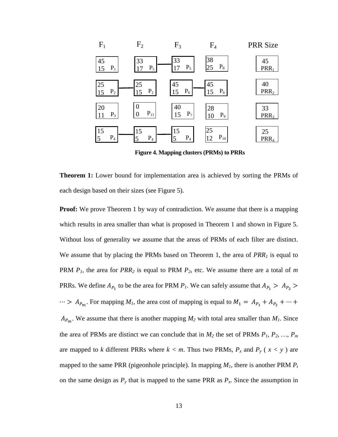

**Figure 4. Mapping clusters (PRMs) to PRRs**

<span id="page-14-0"></span>**Theorem 1:** Lower bound for implementation area is achieved by sorting the PRMs of each design based on their sizes (see [Figure 5\)](#page-15-0).

**Proof:** We prove Theorem 1 by way of contradiction. We assume that there is a mapping which results in area smaller than what is proposed in Theorem 1 and shown in [Figure 5.](#page-15-0) Without loss of generality we assume that the areas of PRMs of each filter are distinct. We assume that by placing the PRMs based on Theorem 1, the area of *PRR<sub>1</sub>* is equal to PRM *P1*, the area for *PRR2* is equal to PRM *P2*, etc. We assume there are a total of *m* PRRs. We define  $A_{P_1}$  to be the area for PRM  $P_1$ . We can safely assume that  $A_{P_1} > A_{P_2}$  $\cdots$  >  $A_{P_m}$ . For mapping  $M_1$ , the area cost of mapping is equal to  $M_1 = A_{P_1} + A_{P_2} + \cdots$  $A_{P_m}$ . We assume that there is another mapping  $M_2$  with total area smaller than  $M_1$ . Since the area of PRMs are distinct we can conclude that in  $M_2$  the set of PRMs  $P_1$ ,  $P_2$ , ...,  $P_m$ are mapped to *k* different PRRs where  $k < m$ . Thus two PRMs,  $P_x$  and  $P_y$  ( $x < y$ ) are mapped to the same PRR (pigeonhole principle). In mapping  $M_1$ , there is another PRM  $P_t$ on the same design as  $P_y$  that is mapped to the same PRR as  $P_x$ . Since the assumption in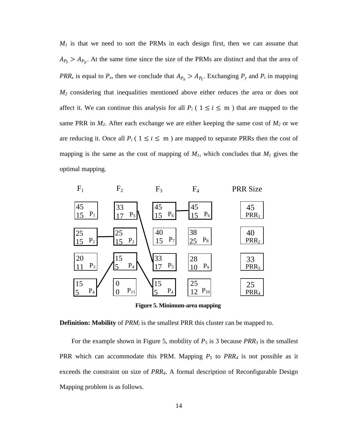$M_1$  is that we need to sort the PRMs in each design first, then we can assume that  $A_{P_t} > A_{P_y}$ . At the same time since the size of the PRMs are distinct and that the area of *PRR<sub>x</sub>* is equal to  $P_x$ , then we conclude that  $A_{P_x} > A_{P_t}$ . Exchanging  $P_y$  and  $P_t$  in mapping *M2* considering that inequalities mentioned above either reduces the area or does not affect it. We can continue this analysis for all  $P_i$  (  $1 \le i \le m$  ) that are mapped to the same PRR in  $M_2$ . After each exchange we are either keeping the same cost of  $M_2$  or we are reducing it. Once all  $P_i$  ( $1 \le i \le m$ ) are mapped to separate PRRs then the cost of mapping is the same as the cost of mapping of  $M<sub>1</sub>$ , which concludes that  $M<sub>1</sub>$  gives the optimal mapping.



**Figure 5. Minimum-area mapping**

<span id="page-15-0"></span>**Definition: Mobility** of *PRM<sub>i</sub>* is the smallest PRR this cluster can be mapped to.

For the example shown in [Figure 5,](#page-15-0) mobility of  $P_5$  is 3 because  $PRR_3$  is the smallest PRR which can accommodate this PRM. Mapping *P5* to *PRR4* is not possible as it exceeds the constraint on size of *PRR4*. A formal description of Reconfigurable Design Mapping problem is as follows.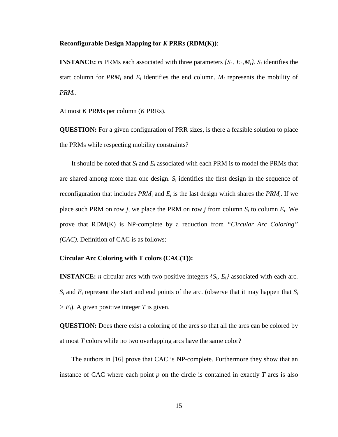#### **Reconfigurable Design Mapping for** *K* **PRRs (RDM(K))**:

**INSTANCE:** *m* PRMs each associated with three parameters  $\{S_i, E_i, M_i\}$ .  $S_i$  identifies the start column for  $PRM_i$  and  $E_i$  identifies the end column.  $M_i$  represents the mobility of *PRMi*.

At most *K* PRMs per column (*K* PRRs).

**QUESTION:** For a given configuration of PRR sizes, is there a feasible solution to place the PRMs while respecting mobility constraints?

It should be noted that  $S_i$  and  $E_i$  associated with each PRM is to model the PRMs that are shared among more than one design.  $S_i$  identifies the first design in the sequence of reconfiguration that includes  $PRM_i$  and  $E_i$  is the last design which shares the  $PRM_i$ . If we place such PRM on row *j*, we place the PRM on row *j* from column  $S_i$  to column  $E_i$ . We prove that RDM(K) is NP-complete by a reduction from *"Circular Arc Coloring" (CAC).* Definition of CAC is as follows:

#### **Circular Arc Coloring with T colors (CAC(T)):**

**INSTANCE:** *n* circular arcs with two positive integers  $\{S_i, E_i\}$  associated with each arc.  $S_i$  and  $E_i$  represent the start and end points of the arc. (observe that it may happen that  $S_i$  $> E_i$ ). A given positive integer *T* is given.

**QUESTION:** Does there exist a coloring of the arcs so that all the arcs can be colored by at most *T* colors while no two overlapping arcs have the same color?

The authors in [\[16\]](#page-44-5) prove that CAC is NP-complete. Furthermore they show that an instance of CAC where each point  $p$  on the circle is contained in exactly  $T$  arcs is also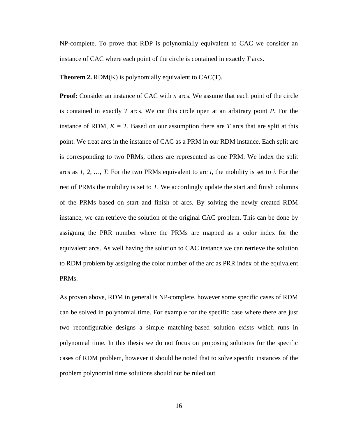NP-complete. To prove that RDP is polynomially equivalent to CAC we consider an instance of CAC where each point of the circle is contained in exactly *T* arcs.

**Theorem 2.** RDM(K) is polynomially equivalent to CAC(T).

**Proof:** Consider an instance of CAC with *n* arcs. We assume that each point of the circle is contained in exactly *T* arcs. We cut this circle open at an arbitrary point *P*. For the instance of RDM,  $K = T$ . Based on our assumption there are *T* arcs that are split at this point. We treat arcs in the instance of CAC as a PRM in our RDM instance. Each split arc is corresponding to two PRMs, others are represented as one PRM. We index the split arcs as *1, 2, …, T*. For the two PRMs equivalent to arc *i*, the mobility is set to *i*. For the rest of PRMs the mobility is set to *T*. We accordingly update the start and finish columns of the PRMs based on start and finish of arcs. By solving the newly created RDM instance, we can retrieve the solution of the original CAC problem. This can be done by assigning the PRR number where the PRMs are mapped as a color index for the equivalent arcs. As well having the solution to CAC instance we can retrieve the solution to RDM problem by assigning the color number of the arc as PRR index of the equivalent PRMs.

As proven above, RDM in general is NP-complete, however some specific cases of RDM can be solved in polynomial time. For example for the specific case where there are just two reconfigurable designs a simple matching-based solution exists which runs in polynomial time. In this thesis we do not focus on proposing solutions for the specific cases of RDM problem, however it should be noted that to solve specific instances of the problem polynomial time solutions should not be ruled out.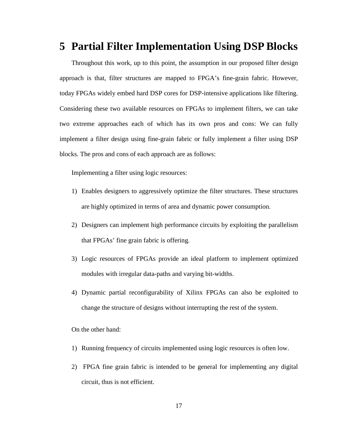### <span id="page-18-0"></span>**5 Partial Filter Implementation Using DSP Blocks**

Throughout this work, up to this point, the assumption in our proposed filter design approach is that, filter structures are mapped to FPGA's fine-grain fabric. However, today FPGAs widely embed hard DSP cores for DSP-intensive applications like filtering. Considering these two available resources on FPGAs to implement filters, we can take two extreme approaches each of which has its own pros and cons: We can fully implement a filter design using fine-grain fabric or fully implement a filter using DSP blocks. The pros and cons of each approach are as follows:

Implementing a filter using logic resources:

- 1) Enables designers to aggressively optimize the filter structures. These structures are highly optimized in terms of area and dynamic power consumption.
- 2) Designers can implement high performance circuits by exploiting the parallelism that FPGAs' fine grain fabric is offering.
- 3) Logic resources of FPGAs provide an ideal platform to implement optimized modules with irregular data-paths and varying bit-widths.
- 4) Dynamic partial reconfigurability of Xilinx FPGAs can also be exploited to change the structure of designs without interrupting the rest of the system.

On the other hand:

- 1) Running frequency of circuits implemented using logic resources is often low.
- 2) FPGA fine grain fabric is intended to be general for implementing any digital circuit, thus is not efficient.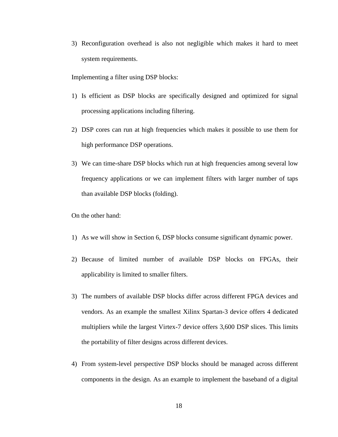3) Reconfiguration overhead is also not negligible which makes it hard to meet system requirements.

Implementing a filter using DSP blocks:

- 1) Is efficient as DSP blocks are specifically designed and optimized for signal processing applications including filtering.
- 2) DSP cores can run at high frequencies which makes it possible to use them for high performance DSP operations.
- 3) We can time-share DSP blocks which run at high frequencies among several low frequency applications or we can implement filters with larger number of taps than available DSP blocks (folding).

On the other hand:

- 1) As we will show in Section [6,](#page-30-0) DSP blocks consume significant dynamic power.
- 2) Because of limited number of available DSP blocks on FPGAs, their applicability is limited to smaller filters.
- 3) The numbers of available DSP blocks differ across different FPGA devices and vendors. As an example the smallest Xilinx Spartan-3 device offers 4 dedicated multipliers while the largest Virtex-7 device offers 3,600 DSP slices. This limits the portability of filter designs across different devices.
- 4) From system-level perspective DSP blocks should be managed across different components in the design. As an example to implement the baseband of a digital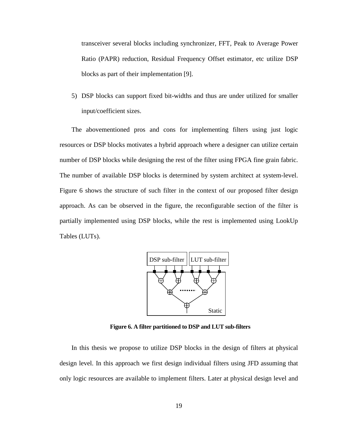transceiver several blocks including synchronizer, FFT, Peak to Average Power Ratio (PAPR) reduction, Residual Frequency Offset estimator, etc utilize DSP blocks as part of their implementation [\[9\].](#page-44-6)

5) DSP blocks can support fixed bit-widths and thus are under utilized for smaller input/coefficient sizes.

The abovementioned pros and cons for implementing filters using just logic resources or DSP blocks motivates a hybrid approach where a designer can utilize certain number of DSP blocks while designing the rest of the filter using FPGA fine grain fabric. The number of available DSP blocks is determined by system architect at system-level. [Figure 6](#page-20-0) shows the structure of such filter in the context of our proposed filter design approach. As can be observed in the figure, the reconfigurable section of the filter is partially implemented using DSP blocks, while the rest is implemented using LookUp Tables (LUTs).



**Figure 6. A filter partitioned to DSP and LUT sub-filters**

<span id="page-20-0"></span>In this thesis we propose to utilize DSP blocks in the design of filters at physical design level. In this approach we first design individual filters using JFD assuming that only logic resources are available to implement filters. Later at physical design level and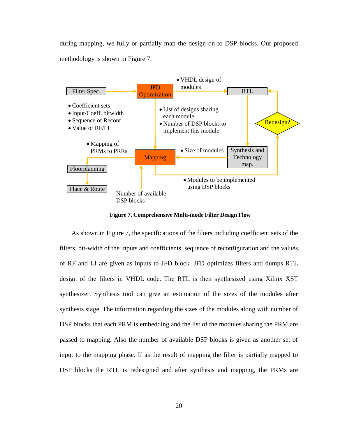during mapping, we fully or partially map the design on to DSP blocks. Our proposed methodology is shown in [Figure 7.](#page-21-0)



**Figure 7. Comprehensive Multi-mode Filter Design Flow**

<span id="page-21-0"></span>As shown in [Figure 7,](#page-21-0) the specifications of the filters including coefficient sets of the filters, bit-width of the inputs and coefficients, sequence of reconfiguration and the values of RF and LI are given as inputs to JFD block. JFD optimizes filters and dumps RTL design of the filters in VHDL code. The RTL is then synthesized using Xilinx XST synthesizer. Synthesis tool can give an estimation of the sizes of the modules after synthesis stage. The information regarding the sizes of the modules along with number of DSP blocks that each PRM is embedding and the list of the modules sharing the PRM are passed to mapping. Also the number of available DSP blocks is given as another set of input to the mapping phase. If as the result of mapping the filter is partially mapped to DSP blocks the RTL is redesigned and after synthesis and mapping, the PRMs are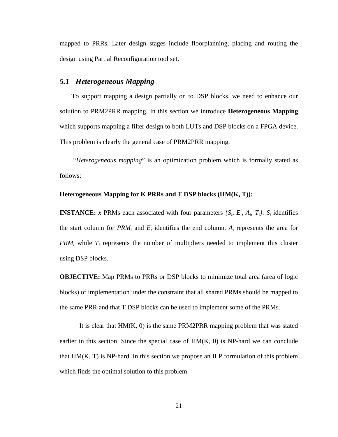mapped to PRRs. Later design stages include floorplanning, placing and routing the design using Partial Reconfiguration tool set.

#### *5.1 Heterogeneous Mapping*

To support mapping a design partially on to DSP blocks, we need to enhance our solution to PRM2PRR mapping. In this section we introduce **Heterogeneous Mapping** which supports mapping a filter design to both LUTs and DSP blocks on a FPGA device. This problem is clearly the general case of PRM2PRR mapping.

"*Heterogeneous mapping*" is an optimization problem which is formally stated as follows:

#### **Heterogeneous Mapping for K PRRs and T DSP blocks (HM(K, T)):**

**INSTANCE:** *x* PRMs each associated with four parameters  $\{S_i, E_i, A_i, T_i\}$ .  $S_i$  identifies the start column for  $PRM_i$  and  $E_i$  identifies the end column.  $A_i$  represents the area for *PRM<sub>i</sub>* while  $T_i$  represents the number of multipliers needed to implement this cluster using DSP blocks.

**OBJECTIVE:** Map PRMs to PRRs or DSP blocks to minimize total area (area of logic blocks) of implementation under the constraint that all shared PRMs should be mapped to the same PRR and that T DSP blocks can be used to implement some of the PRMs.

It is clear that  $HM(K, 0)$  is the same PRM2PRR mapping problem that was stated earlier in this section. Since the special case of  $HM(K, 0)$  is NP-hard we can conclude that  $HM(K, T)$  is NP-hard. In this section we propose an ILP formulation of this problem which finds the optimal solution to this problem.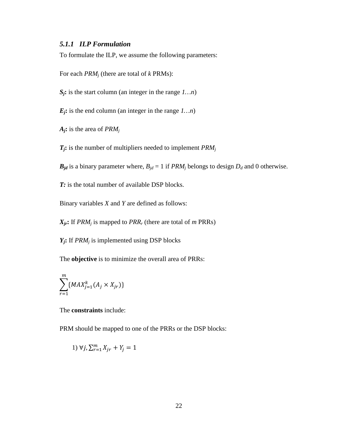#### *5.1.1 ILP Formulation*

To formulate the ILP, we assume the following parameters:

For each *PRMj* (there are total of *k* PRMs):

*Sj***:** is the start column (an integer in the range *1…n*)

*Ej***:** is the end column (an integer in the range *1…n*)

*Aj***:** is the area of *PRMj*

*Tj***:** is the number of multipliers needed to implement *PRMj*

 $B_{jd}$  is a binary parameter where,  $B_{jd} = 1$  if *PRM<sub>i</sub>* belongs to design  $D_d$  and 0 otherwise.

*T*: is the total number of available DSP blocks.

Binary variables *X* and *Y* are defined as follows:

 $X_{ir}$ **:** If *PRM<sub>i</sub>* is mapped to *PRR<sub>r</sub>* (there are total of *m* PRRs)

*Yj***:** If *PRMj* is implemented using DSP blocks

The **objective** is to minimize the overall area of PRRs:

$$
\sum_{r=1}^{m} \{MAX_{j=1}^{k}(A_j \times X_{jr})\}
$$

The **constraints** include:

PRM should be mapped to one of the PRRs or the DSP blocks:

1) 
$$
\forall j, \sum_{r=1}^{m} X_{jr} + Y_j = 1
$$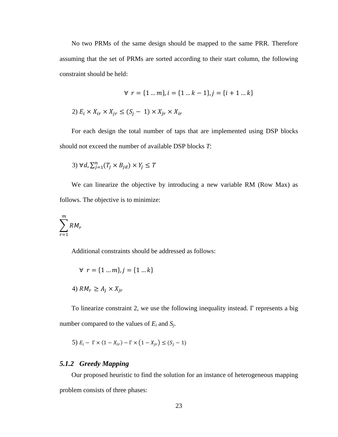No two PRMs of the same design should be mapped to the same PRR. Therefore assuming that the set of PRMs are sorted according to their start column, the following constraint should be held:

$$
\forall r = \{1 \dots m\}, i = \{1 \dots k - 1\}, j = \{i + 1 \dots k\}
$$

2) 
$$
E_i \times X_{ir} \times X_{jr} \leq (S_j - 1) \times X_{jr} \times X_{ir}
$$

For each design the total number of taps that are implemented using DSP blocks should not exceed the number of available DSP blocks *T*:

$$
3) \forall d, \sum_{j=1}^{n} (T_j \times B_{jd}) \times Y_j \leq T
$$

We can linearize the objective by introducing a new variable RM (Row Max) as follows. The objective is to minimize:

$$
\sum_{r=1}^{m} RM_r
$$

Additional constraints should be addressed as follows:

$$
\forall r = \{1 \dots m\}, j = \{1 \dots k\}
$$
  

$$
\forall M_r \ge A_j \times X_{jr}
$$

To linearize constraint 2, we use the following inequality instead. Γ represents a big number compared to the values of *Ei* and *Sj*.

$$
5) E_i - \Gamma \times (1 - X_{ir}) - \Gamma \times (1 - X_{jr}) \le (S_j - 1)
$$

### *5.1.2 Greedy Mapping*

Our proposed heuristic to find the solution for an instance of heterogeneous mapping problem consists of three phases: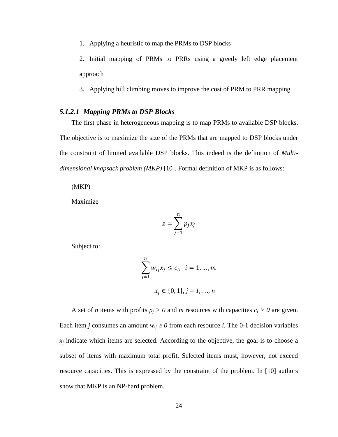1. Applying a heuristic to map the PRMs to DSP blocks

2. Initial mapping of PRMs to PRRs using a greedy left edge placement approach

3. Applying hill climbing moves to improve the cost of PRM to PRR mapping

#### *5.1.2.1 Mapping PRMs to DSP Blocks*

The first phase in heterogeneous mapping is to map PRMs to available DSP blocks. The objective is to maximize the size of the PRMs that are mapped to DSP blocks under the constraint of limited available DSP blocks. This indeed is the definition of *Multidimensional knapsack problem (MKP)* [\[10\].](#page-44-7) Formal definition of MKP is as follows:

(MKP)

Maximize

$$
z=\sum_{j=1}^n p_j x_j
$$

Subject to:

$$
\sum_{j=1}^{n} w_{ij} x_j \le c_i, \quad i = 1, ..., m
$$
  

$$
x_j \in \{0, 1\}, j = 1, ..., n
$$

A set of *n* items with profits  $p_j > 0$  and *m* resources with capacities  $c_i > 0$  are given. Each item *j* consumes an amount  $w_{ij} \ge 0$  from each resource *i*. The 0-1 decision variables  $x_i$  indicate which items are selected. According to the objective, the goal is to choose a subset of items with maximum total profit. Selected items must, however, not exceed resource capacities. This is expressed by the constraint of the problem. In [\[10\]](#page-44-7) authors show that MKP is an NP-hard problem.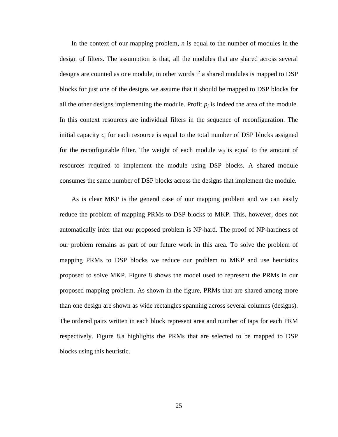In the context of our mapping problem, *n* is equal to the number of modules in the design of filters. The assumption is that, all the modules that are shared across several designs are counted as one module, in other words if a shared modules is mapped to DSP blocks for just one of the designs we assume that it should be mapped to DSP blocks for all the other designs implementing the module. Profit  $p_i$  is indeed the area of the module. In this context resources are individual filters in the sequence of reconfiguration. The initial capacity  $c_i$  for each resource is equal to the total number of DSP blocks assigned for the reconfigurable filter. The weight of each module  $w_{ij}$  is equal to the amount of resources required to implement the module using DSP blocks. A shared module consumes the same number of DSP blocks across the designs that implement the module.

As is clear MKP is the general case of our mapping problem and we can easily reduce the problem of mapping PRMs to DSP blocks to MKP. This, however, does not automatically infer that our proposed problem is NP-hard. The proof of NP-hardness of our problem remains as part of our future work in this area. To solve the problem of mapping PRMs to DSP blocks we reduce our problem to MKP and use heuristics proposed to solve MKP. [Figure 8](#page-27-0) shows the model used to represent the PRMs in our proposed mapping problem. As shown in the figure, PRMs that are shared among more than one design are shown as wide rectangles spanning across several columns (designs). The ordered pairs written in each block represent area and number of taps for each PRM respectively. [Figure 8.](#page-27-0)a highlights the PRMs that are selected to be mapped to DSP blocks using this heuristic.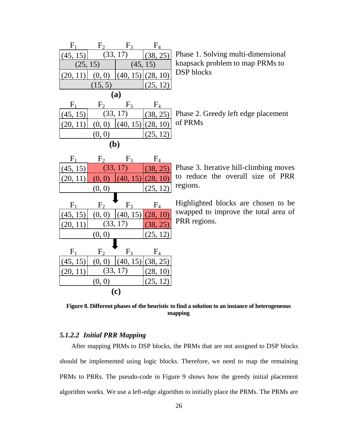| $F_1$<br>$F_4$<br>F <sub>2</sub><br>$F_3$<br>(33, 17)<br>(38, 25)<br>(45, 15)<br>(25, 15)<br>(45, 15)<br>(20, 11)<br>$(40, 15)$ (28, 10)<br>(0, 0)<br>(15, 5)<br>(25, 12) | Phase 1. Solving multi-dimensional<br>knapsack problem to map PRMs to<br><b>DSP</b> blocks  |
|---------------------------------------------------------------------------------------------------------------------------------------------------------------------------|---------------------------------------------------------------------------------------------|
| <b>(a)</b><br>$F_4$<br>$F_1$<br>F <sub>2</sub><br>$F_3$<br>(33, 17)<br>(45, 15)<br>(38, 25)<br>(20, 11)<br>(0, 0)<br>(40, 15)<br>(28, 10)<br>(0, 0)<br>(25, 12)<br>(b)    | Phase 2. Greedy left edge placement<br>of PRMs                                              |
| F <sub>1</sub><br>$F_4$<br>$F_3$<br>F <sub>2</sub><br>(33, 17)<br>(45, 15)<br>(38, 25)<br>(28, 10)<br>(20, 11)<br>(0, 0)<br>(40, 15)<br>(0, 0)<br>(25, 12)                | Phase 3. Iterative hill-climbing moves<br>to reduce the overall size of PRR<br>regions.     |
| F <sub>4</sub><br>F <sub>1</sub><br>F <sub>2</sub><br>$F_3$<br>(40, 15)<br>(45, 15)<br>(28, 10)<br>(0, 0)<br>(33, 17)<br>(38, 25)<br>(20, 11)<br>(0, 0)<br>(25, 12)       | Highlighted blocks are chosen to be<br>swapped to improve the total area of<br>PRR regions. |
| $F_1$<br>$F_3$<br>F <sub>2</sub><br>F <sub>4</sub><br>(40, 15)<br>(38, 25)<br>(45, 15)<br>(0, 0)<br>(33, 17)<br>(28, 10)<br>(20, 11)<br>(25, 12)<br>(0, 0)<br><b>(c)</b>  |                                                                                             |

<span id="page-27-0"></span>**Figure 8. Different phases of the heuristic to find a solution to an instance of heterogeneous mapping**

### *5.1.2.2 Initial PRR Mapping*

After mapping PRMs to DSP blocks, the PRMs that are not assigned to DSP blocks should be implemented using logic blocks. Therefore, we need to map the remaining PRMs to PRRs. The pseudo-code in [Figure 9](#page-29-0) shows how the greedy initial placement algorithm works. We use a left-edge algorithm to initially place the PRMs. The PRMs are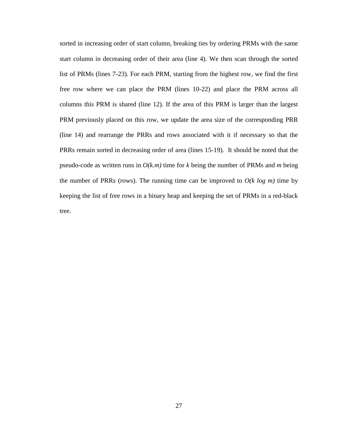sorted in increasing order of start column, breaking ties by ordering PRMs with the same start column in decreasing order of their area (line 4). We then scan through the sorted list of PRMs (lines 7-23). For each PRM, starting from the highest row, we find the first free row where we can place the PRM (lines 10-22) and place the PRM across all columns this PRM is shared (line 12). If the area of this PRM is larger than the largest PRM previously placed on this row, we update the area size of the corresponding PRR (line 14) and rearrange the PRRs and rows associated with it if necessary so that the PRRs remain sorted in decreasing order of area (lines 15-19). It should be noted that the pseudo-code as written runs in *O(k.m)* time for *k* being the number of PRMs and *m* being the number of PRRs (rows). The running time can be improved to  $O(k \log m)$  time by keeping the list of free rows in a binary heap and keeping the set of PRMs in a red-black tree.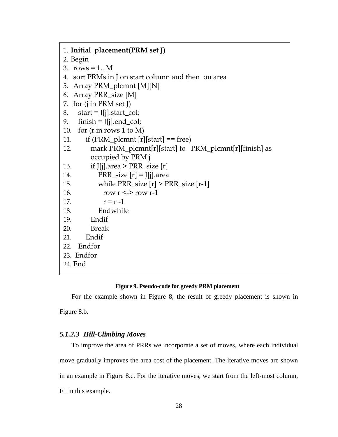1. **Initial\_placement(PRM set J)** 2. Begin 3. rows =  $1...M$ 4. sort PRMs in J on start column and then on area 5. Array PRM\_plcmnt [M][N] 6. Array PRR\_size [M] 7. for (j in PRM set J) 8. start =  $\text{I}[i]$ . start col; 9. finish =  $\iint$ [j].end\_col; 10. for (r in rows 1 to M) 11. if (PRM\_plcmnt  $[r][start] == free$ ) 12. mark PRM\_plcmnt[r][start] to PRM\_plcmnt[r][finish] as occupied by PRM j 13. if J[j].area >  $PRR$ \_size [r] 14. **PRR\_size**  $[r] = J[j]$ .area 15. while  $PRR\_size [r] > PRR\_size [r-1]$ 16. row  $r \leq$  -> row  $r$ -1 17.  $r = r - 1$ 18. Endwhile 19. Endif 20. Break 21. Endif 22. Endfor 23. Endfor 24. End

#### **Figure 9. Pseudo-code for greedy PRM placement**

<span id="page-29-0"></span>For the example shown in [Figure 8,](#page-27-0) the result of greedy placement is shown in

[Figure 8.](#page-27-0)b.

#### *5.1.2.3 Hill-Climbing Moves*

To improve the area of PRRs we incorporate a set of moves, where each individual move gradually improves the area cost of the placement. The iterative moves are shown in an example in [Figure 8.](#page-27-0)c. For the iterative moves, we start from the left-most column, F1 in this example.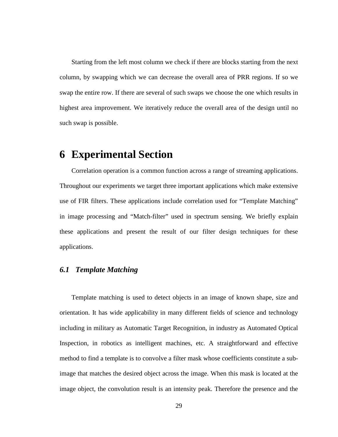Starting from the left most column we check if there are blocks starting from the next column, by swapping which we can decrease the overall area of PRR regions. If so we swap the entire row. If there are several of such swaps we choose the one which results in highest area improvement. We iteratively reduce the overall area of the design until no such swap is possible.

### <span id="page-30-0"></span>**6 Experimental Section**

Correlation operation is a common function across a range of streaming applications. Throughout our experiments we target three important applications which make extensive use of FIR filters. These applications include correlation used for "Template Matching" in image processing and "Match-filter" used in spectrum sensing. We briefly explain these applications and present the result of our filter design techniques for these applications.

### *6.1 Template Matching*

Template matching is used to detect objects in an image of known shape, size and orientation. It has wide applicability in many different fields of science and technology including in military as Automatic Target Recognition, in industry as Automated Optical Inspection, in robotics as intelligent machines, etc. A straightforward and effective method to find a template is to convolve a filter mask whose coefficients constitute a subimage that matches the desired object across the image. When this mask is located at the image object, the convolution result is an intensity peak. Therefore the presence and the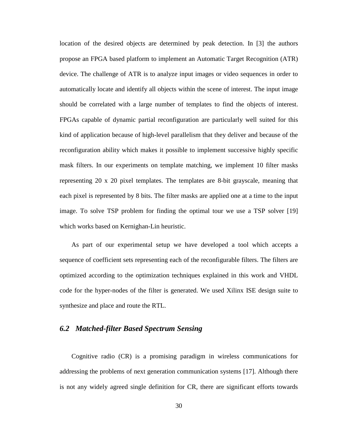location of the desired objects are determined by peak detection. In [\[3\]](#page-43-4) the authors propose an FPGA based platform to implement an Automatic Target Recognition (ATR) device. The challenge of ATR is to analyze input images or video sequences in order to automatically locate and identify all objects within the scene of interest. The input image should be correlated with a large number of templates to find the objects of interest. FPGAs capable of dynamic partial reconfiguration are particularly well suited for this kind of application because of high-level parallelism that they deliver and because of the reconfiguration ability which makes it possible to implement successive highly specific mask filters. In our experiments on template matching, we implement 10 filter masks representing 20 x 20 pixel templates. The templates are 8-bit grayscale, meaning that each pixel is represented by 8 bits. The filter masks are applied one at a time to the input image. To solve TSP problem for finding the optimal tour we use a TSP solver [\[19\]](#page-45-1) which works based on Kernighan-Lin heuristic.

As part of our experimental setup we have developed a tool which accepts a sequence of coefficient sets representing each of the reconfigurable filters. The filters are optimized according to the optimization techniques explained in this work and VHDL code for the hyper-nodes of the filter is generated. We used Xilinx ISE design suite to synthesize and place and route the RTL.

#### *6.2 Matched-filter Based Spectrum Sensing*

Cognitive radio (CR) is a promising paradigm in wireless communications for addressing the problems of next generation communication systems [\[17\].](#page-44-8) Although there is not any widely agreed single definition for CR, there are significant efforts towards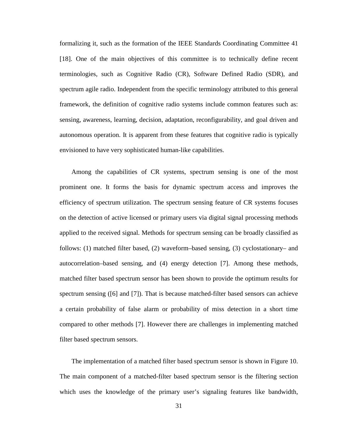formalizing it, such as the formation of the IEEE Standards Coordinating Committee 41 [\[18\].](#page-45-2) One of the main objectives of this committee is to technically define recent terminologies, such as Cognitive Radio (CR), Software Defined Radio (SDR), and spectrum agile radio. Independent from the specific terminology attributed to this general framework, the definition of cognitive radio systems include common features such as: sensing, awareness, learning, decision, adaptation, reconfigurability, and goal driven and autonomous operation. It is apparent from these features that cognitive radio is typically envisioned to have very sophisticated human-like capabilities.

Among the capabilities of CR systems, spectrum sensing is one of the most prominent one. It forms the basis for dynamic spectrum access and improves the efficiency of spectrum utilization. The spectrum sensing feature of CR systems focuses on the detection of active licensed or primary users via digital signal processing methods applied to the received signal. Methods for spectrum sensing can be broadly classified as follows: (1) matched filter based, (2) waveform–based sensing, (3) cyclostationary– and autocorrelation–based sensing, and (4) energy detection [\[7\].](#page-44-9) Among these methods, matched filter based spectrum sensor has been shown to provide the optimum results for spectrum sensing [\(\[6\]](#page-43-5) and [\[7\]\)](#page-44-9). That is because matched-filter based sensors can achieve a certain probability of false alarm or probability of miss detection in a short time compared to other methods [\[7\].](#page-44-9) However there are challenges in implementing matched filter based spectrum sensors.

The implementation of a matched filter based spectrum sensor is shown in [Figure 10.](#page-33-0) The main component of a matched-filter based spectrum sensor is the filtering section which uses the knowledge of the primary user's signaling features like bandwidth,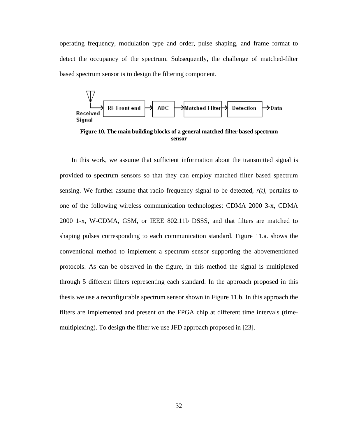operating frequency, modulation type and order, pulse shaping, and frame format to detect the occupancy of the spectrum. Subsequently, the challenge of matched-filter based spectrum sensor is to design the filtering component.



<span id="page-33-0"></span>**Figure 10. The main building blocks of a general matched-filter based spectrum sensor**

In this work, we assume that sufficient information about the transmitted signal is provided to spectrum sensors so that they can employ matched filter based spectrum sensing. We further assume that radio frequency signal to be detected,  $r(t)$ , pertains to one of the following wireless communication technologies: CDMA 2000 3-x, CDMA 2000 1-x, W-CDMA, GSM, or IEEE 802.11b DSSS, and that filters are matched to shaping pulses corresponding to each communication standard. [Figure 11.](#page-34-0)a. shows the conventional method to implement a spectrum sensor supporting the abovementioned protocols. As can be observed in the figure, in this method the signal is multiplexed through 5 different filters representing each standard. In the approach proposed in this thesis we use a reconfigurable spectrum sensor shown in [Figure 11.](#page-34-0)b. In this approach the filters are implemented and present on the FPGA chip at different time intervals (timemultiplexing). To design the filter we use JFD approach proposed in [\[23\].](#page-45-0)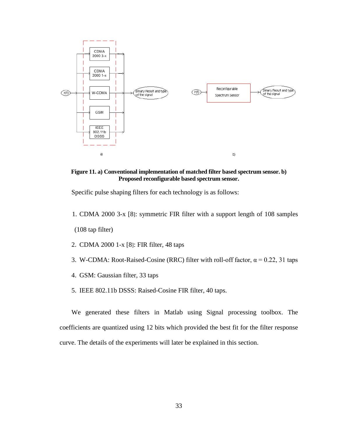

<span id="page-34-0"></span>**Figure 11. a) Conventional implementation of matched filter based spectrum sensor. b) Proposed reconfigurable based spectrum sensor.**

Specific pulse shaping filters for each technology is as follows:

1. CDMA 2000 3-x [\[8\]:](#page-44-10) symmetric FIR filter with a support length of 108 samples

(108 tap filter)

- 2. CDMA 2000 1-x [\[8\]:](#page-44-10) FIR filter, 48 taps
- 3. W-CDMA: Root-Raised-Cosine (RRC) filter with roll-off factor,  $\alpha = 0.22$ , 31 taps
- 4. GSM: Gaussian filter, 33 taps
- 5. IEEE 802.11b DSSS: Raised-Cosine FIR filter, 40 taps.

We generated these filters in Matlab using Signal processing toolbox. The coefficients are quantized using 12 bits which provided the best fit for the filter response curve. The details of the experiments will later be explained in this section.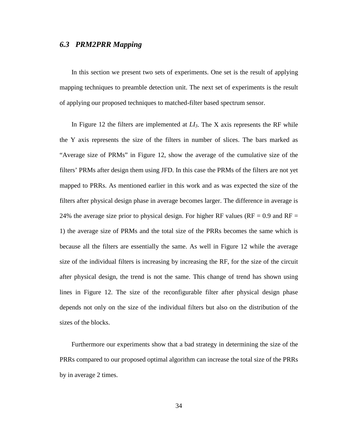#### *6.3 PRM2PRR Mapping*

In this section we present two sets of experiments. One set is the result of applying mapping techniques to preamble detection unit. The next set of experiments is the result of applying our proposed techniques to matched-filter based spectrum sensor.

In [Figure 12](#page-36-0) the filters are implemented at  $LI<sub>3</sub>$ . The X axis represents the RF while the Y axis represents the size of the filters in number of slices. The bars marked as "Average size of PRMs" in [Figure 12,](#page-36-0) show the average of the cumulative size of the filters' PRMs after design them using JFD. In this case the PRMs of the filters are not yet mapped to PRRs. As mentioned earlier in this work and as was expected the size of the filters after physical design phase in average becomes larger. The difference in average is 24% the average size prior to physical design. For higher RF values ( $RF = 0.9$  and  $RF =$ 1) the average size of PRMs and the total size of the PRRs becomes the same which is because all the filters are essentially the same. As well in [Figure 12](#page-36-0) while the average size of the individual filters is increasing by increasing the RF, for the size of the circuit after physical design, the trend is not the same. This change of trend has shown using lines in [Figure 12.](#page-36-0) The size of the reconfigurable filter after physical design phase depends not only on the size of the individual filters but also on the distribution of the sizes of the blocks.

Furthermore our experiments show that a bad strategy in determining the size of the PRRs compared to our proposed optimal algorithm can increase the total size of the PRRs by in average 2 times.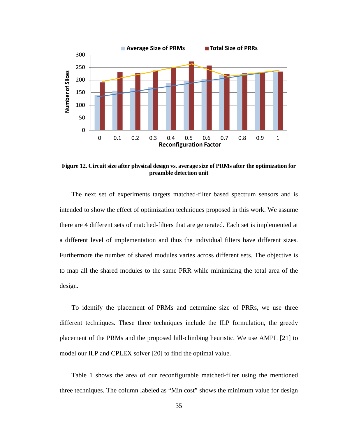

<span id="page-36-0"></span>**Figure 12. Circuit size after physical design vs. average size of PRMs after the optimization for preamble detection unit**

The next set of experiments targets matched-filter based spectrum sensors and is intended to show the effect of optimization techniques proposed in this work. We assume there are 4 different sets of matched-filters that are generated. Each set is implemented at a different level of implementation and thus the individual filters have different sizes. Furthermore the number of shared modules varies across different sets. The objective is to map all the shared modules to the same PRR while minimizing the total area of the design.

To identify the placement of PRMs and determine size of PRRs, we use three different techniques. These three techniques include the ILP formulation, the greedy placement of the PRMs and the proposed hill-climbing heuristic. We use AMPL [\[21\]](#page-45-3) to model our ILP and CPLEX solver [\[20\]](#page-45-4) to find the optimal value.

[Table 1](#page-37-0) shows the area of our reconfigurable matched-filter using the mentioned three techniques. The column labeled as "Min cost" shows the minimum value for design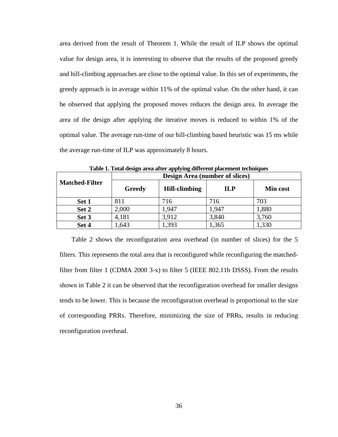area derived from the result of Theorem 1. While the result of ILP shows the optimal value for design area, it is interesting to observe that the results of the proposed greedy and hill-climbing approaches are close to the optimal value. In this set of experiments, the greedy approach is in average within 11% of the optimal value. On the other hand, it can be observed that applying the proposed moves reduces the design area. In average the area of the design after applying the iterative moves is reduced to within 1% of the optimal value. The average run-time of our hill-climbing based heuristic was 15 ms while the average run-time of ILP was approximately 8 hours.

<span id="page-37-0"></span>

| <b>Matched-Filter</b> | Design Area (number of slices) |                      |            |                 |
|-----------------------|--------------------------------|----------------------|------------|-----------------|
|                       | Greedy                         | <b>Hill-climbing</b> | <b>ILP</b> | <b>Min cost</b> |
| Set 1                 | 811                            | 716                  | 716        | 703             |
| Set 2                 | 2,000                          | 1.947                | 1,947      | 1,880           |
| Set 3                 | 4,181                          | 3.912                | 3,840      | 3,760           |
| Set 4                 | 1,643                          | 1,393                | 1,365      | 1,330           |

**Table 1. Total design area after applying different placement techniques**

[Table 2](#page-38-0) shows the reconfiguration area overhead (in number of slices) for the 5 filters. This represents the total area that is reconfigured while reconfiguring the matchedfilter from filter 1 (CDMA 2000 3-x) to filter 5 (IEEE 802.11b DSSS). From the results shown in [Table 2](#page-38-0) it can be observed that the reconfiguration overhead for smaller designs tends to be lower. This is because the reconfiguration overhead is proportional to the size of corresponding PRRs. Therefore, minimizing the size of PRRs, results in reducing reconfiguration overhead.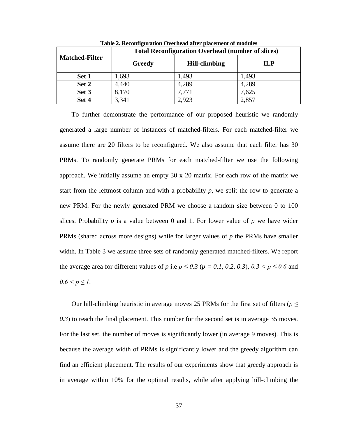<span id="page-38-0"></span>

| <b>Matched-Filter</b> | <b>Total Reconfiguration Overhead (number of slices)</b> |                      |            |  |
|-----------------------|----------------------------------------------------------|----------------------|------------|--|
|                       | Greedy                                                   | <b>Hill-climbing</b> | <b>ILP</b> |  |
| Set 1                 | 1,693                                                    | 1,493                | 1,493      |  |
| Set 2                 | 4,440                                                    | 4,289                | 4,289      |  |
| Set 3                 | 8,170                                                    | 7,771                | 7,625      |  |
| Set 4                 | 3,341                                                    | 2,923                | 2,857      |  |

**Table 2. Reconfiguration Overhead after placement of modules**

To further demonstrate the performance of our proposed heuristic we randomly generated a large number of instances of matched-filters. For each matched-filter we assume there are 20 filters to be reconfigured. We also assume that each filter has 30 PRMs. To randomly generate PRMs for each matched-filter we use the following approach. We initially assume an empty 30 x 20 matrix. For each row of the matrix we start from the leftmost column and with a probability  $p$ , we split the row to generate a new PRM. For the newly generated PRM we choose a random size between 0 to 100 slices. Probability  $p$  is a value between 0 and 1. For lower value of  $p$  we have wider PRMs (shared across more designs) while for larger values of *p* the PRMs have smaller width. In [Table 3](#page-39-0) we assume three sets of randomly generated matched-filters. We report the average area for different values of *p* i.e  $p \le 0.3$  ( $p = 0.1$ , 0.2, 0.3),  $0.3 < p \le 0.6$  and  $0.6 \le p \le 1$ .

Our hill-climbing heuristic in average moves 25 PRMs for the first set of filters ( $p \leq$ *0.3*) to reach the final placement. This number for the second set is in average 35 moves. For the last set, the number of moves is significantly lower (in average 9 moves). This is because the average width of PRMs is significantly lower and the greedy algorithm can find an efficient placement. The results of our experiments show that greedy approach is in average within 10% for the optimal results, while after applying hill-climbing the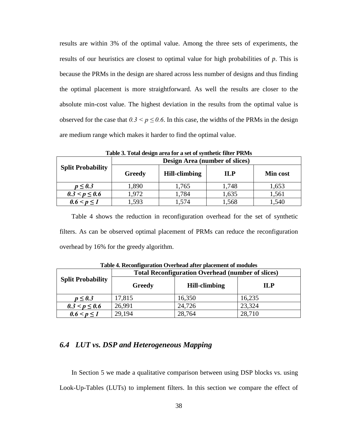results are within 3% of the optimal value. Among the three sets of experiments, the results of our heuristics are closest to optimal value for high probabilities of *p*. This is because the PRMs in the design are shared across less number of designs and thus finding the optimal placement is more straightforward. As well the results are closer to the absolute min-cost value. The highest deviation in the results from the optimal value is observed for the case that  $0.3 \le p \le 0.6$ . In this case, the widths of the PRMs in the design are medium range which makes it harder to find the optimal value.

<span id="page-39-0"></span>

| Table 5: Tomi acsign area for a set of symmetre meet 1 KG 15 |                                |                      |       |                 |  |
|--------------------------------------------------------------|--------------------------------|----------------------|-------|-----------------|--|
| <b>Split Probability</b>                                     | Design Area (number of slices) |                      |       |                 |  |
|                                                              | Greedy                         | <b>Hill-climbing</b> | ПР    | <b>Min cost</b> |  |
| $p \leq 0.3$                                                 | 1,890                          | 1,765                | 1,748 | 1,653           |  |
| $0.3 < p \leq 0.6$                                           | 1,972                          | 1,784                | 1,635 | 1,561           |  |
| $0.6 < p \leq 1$                                             | 1,593                          | 1,574                | 1,568 | 1,540           |  |

**Table 3. Total design area for a set of synthetic filter PRMs**

[Table 4](#page-39-1) shows the reduction in reconfiguration overhead for the set of synthetic filters. As can be observed optimal placement of PRMs can reduce the reconfiguration overhead by 16% for the greedy algorithm.

<span id="page-39-1"></span>

| <b>Split Probability</b> | <b>Total Reconfiguration Overhead (number of slices)</b> |                      |            |  |
|--------------------------|----------------------------------------------------------|----------------------|------------|--|
|                          | Greedy                                                   | <b>Hill-climbing</b> | <b>ILP</b> |  |
| $p \leq 0.3$             | 17,815                                                   | 16,350               | 16,235     |  |
| $0.3 < p \leq 0.6$       | 26,991                                                   | 24,726               | 23,324     |  |
| $0.6 < p \le 1$          | 29,194                                                   | 28,764               | 28,710     |  |

**Table 4. Reconfiguration Overhead after placement of modules**

### *6.4 LUT vs. DSP and Heterogeneous Mapping*

In Section [5](#page-18-0) we made a qualitative comparison between using DSP blocks vs. using Look-Up-Tables (LUTs) to implement filters. In this section we compare the effect of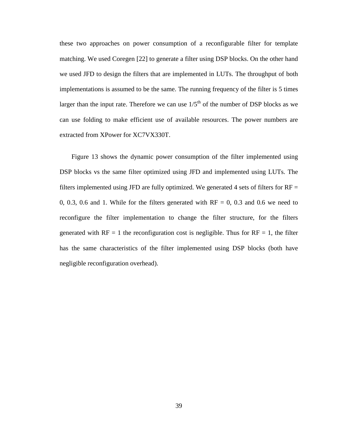these two approaches on power consumption of a reconfigurable filter for template matching. We used Coregen [\[22\]](#page-45-5) to generate a filter using DSP blocks. On the other hand we used JFD to design the filters that are implemented in LUTs. The throughput of both implementations is assumed to be the same. The running frequency of the filter is 5 times larger than the input rate. Therefore we can use  $1/5<sup>th</sup>$  of the number of DSP blocks as we can use folding to make efficient use of available resources. The power numbers are extracted from XPower for XC7VX330T.

[Figure 13](#page-41-0) shows the dynamic power consumption of the filter implemented using DSP blocks vs the same filter optimized using JFD and implemented using LUTs. The filters implemented using JFD are fully optimized. We generated 4 sets of filters for  $RF =$ 0, 0.3, 0.6 and 1. While for the filters generated with  $RF = 0$ , 0.3 and 0.6 we need to reconfigure the filter implementation to change the filter structure, for the filters generated with  $RF = 1$  the reconfiguration cost is negligible. Thus for  $RF = 1$ , the filter has the same characteristics of the filter implemented using DSP blocks (both have negligible reconfiguration overhead).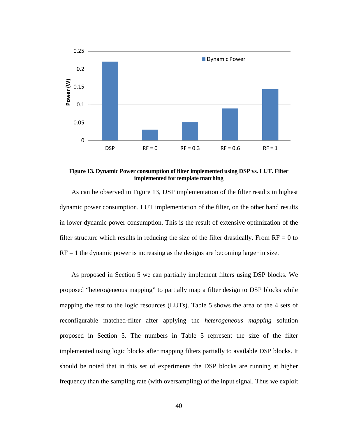

<span id="page-41-0"></span>**Figure 13. Dynamic Power consumption of filter implemented using DSP vs. LUT. Filter implemented for template matching**

As can be observed in [Figure 13,](#page-41-0) DSP implementation of the filter results in highest dynamic power consumption. LUT implementation of the filter, on the other hand results in lower dynamic power consumption. This is the result of extensive optimization of the filter structure which results in reducing the size of the filter drastically. From  $RF = 0$  to  $RF = 1$  the dynamic power is increasing as the designs are becoming larger in size.

As proposed in Section [5](#page-18-0) we can partially implement filters using DSP blocks. We proposed "heterogeneous mapping" to partially map a filter design to DSP blocks while mapping the rest to the logic resources (LUTs). [Table 5](#page-42-0) shows the area of the 4 sets of reconfigurable matched-filter after applying the *heterogeneous mapping* solution proposed in Section [5.](#page-18-0) The numbers in [Table 5](#page-42-0) represent the size of the filter implemented using logic blocks after mapping filters partially to available DSP blocks. It should be noted that in this set of experiments the DSP blocks are running at higher frequency than the sampling rate (with oversampling) of the input signal. Thus we exploit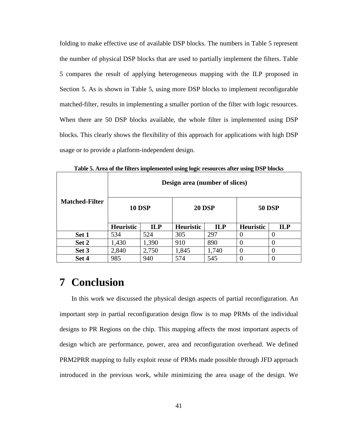folding to make effective use of available DSP blocks. The numbers in [Table 5](#page-42-0) represent the number of physical DSP blocks that are used to partially implement the filters. [Table](#page-42-0)  [5](#page-42-0) compares the result of applying heterogeneous mapping with the ILP proposed in Section [5.](#page-18-0) As is shown in [Table 5,](#page-42-0) using more DSP blocks to implement reconfigurable matched-filter, results in implementing a smaller portion of the filter with logic resources. When there are 50 DSP blocks available, the whole filter is implemented using DSP blocks. This clearly shows the flexibility of this approach for applications with high DSP usage or to provide a platform-independent design.

<span id="page-42-0"></span>

|                       | - <del>- - - - - -</del> - - -<br>Design area (number of slices) |            |               |            |                  |            |
|-----------------------|------------------------------------------------------------------|------------|---------------|------------|------------------|------------|
| <b>Matched-Filter</b> | <b>10 DSP</b>                                                    |            | <b>20 DSP</b> |            | <b>50 DSP</b>    |            |
|                       | <b>Heuristic</b>                                                 | <b>ILP</b> | Heuristic     | <b>ILP</b> | <b>Heuristic</b> | <b>ILP</b> |
| Set 1                 | 534                                                              | 524        | 305           | 297        |                  |            |
| Set 2                 | 1,430                                                            | 1,390      | 910           | 890        | 0                |            |
| Set 3                 | 2,840                                                            | 2,750      | 1,845         | 1,740      | $\theta$         | 0          |
| Set 4                 | 985                                                              | 940        | 574           | 545        |                  | 0          |

**Table 5. Area of the filters implemented using logic resources after using DSP blocks**

# **7 Conclusion**

In this work we discussed the physical design aspects of partial reconfiguration. An important step in partial reconfiguration design flow is to map PRMs of the individual designs to PR Regions on the chip. This mapping affects the most important aspects of design which are performance, power, area and reconfiguration overhead. We defined PRM2PRR mapping to fully exploit reuse of PRMs made possible through JFD approach introduced in the previous work, while minimizing the area usage of the design. We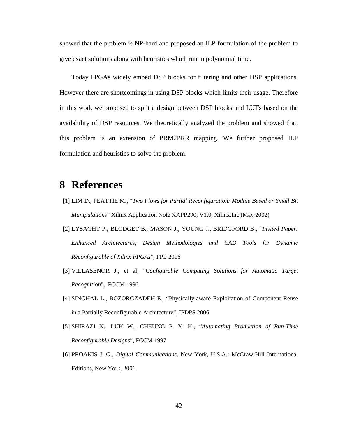showed that the problem is NP-hard and proposed an ILP formulation of the problem to give exact solutions along with heuristics which run in polynomial time.

Today FPGAs widely embed DSP blocks for filtering and other DSP applications. However there are shortcomings in using DSP blocks which limits their usage. Therefore in this work we proposed to split a design between DSP blocks and LUTs based on the availability of DSP resources. We theoretically analyzed the problem and showed that, this problem is an extension of PRM2PRR mapping. We further proposed ILP formulation and heuristics to solve the problem.

# **8 References**

- <span id="page-43-0"></span>[1] LIM D., PEATTIE M., "*Two Flows for Partial Reconfiguration: Module Based or Small Bit Manipulations*" Xilinx Application Note XAPP290, V1.0, Xilinx.Inc (May 2002)
- <span id="page-43-1"></span>[2] LYSAGHT P., BLODGET B., MASON J., YOUNG J., BRIDGFORD B., "*Invited Paper: Enhanced Architectures, Design Methodologies and CAD Tools for Dynamic Reconfigurable of Xilinx FPGAs*", FPL 2006
- <span id="page-43-4"></span>[3] VILLASENOR J., et al, "*Configurable Computing Solutions for Automatic Target Recognition*", FCCM 1996
- <span id="page-43-3"></span>[4] SINGHAL L., BOZORGZADEH E., "Physically-aware Exploitation of Component Reuse in a Partially Reconfigurable Architecture", IPDPS 2006
- <span id="page-43-2"></span>[5] SHIRAZI N., LUK W., CHEUNG P. Y. K., "*Automating Production of Run-Time Reconfigurable Designs*", FCCM 1997
- <span id="page-43-5"></span>[6] PROAKIS J. G., *Digital Communications*. New York, U.S.A.: McGraw-Hill International Editions, New York, 2001.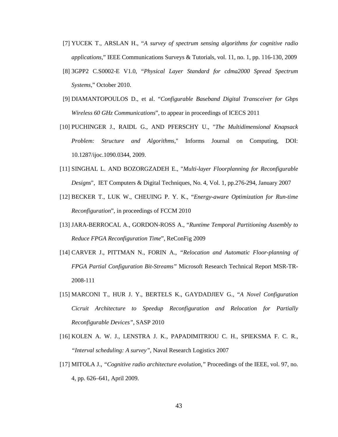- <span id="page-44-9"></span>[7] YUCEK T., ARSLAN H., "*A survey of spectrum sensing algorithms for cognitive radio applications*," IEEE Communications Surveys & Tutorials, vol. 11, no. 1, pp. 116-130, 2009
- <span id="page-44-10"></span>[8] 3GPP2 C.S0002-E V1.0, "*Physical Layer Standard for cdma2000 Spread Spectrum Systems*," October 2010.
- <span id="page-44-6"></span>[9] DIAMANTOPOULOS D., et al. "*Configurable Baseband Digital Transceiver for Gbps Wireless 60 GHz Communications*", to appear in proceedings of ICECS 2011
- <span id="page-44-7"></span>[10] PUCHINGER J., RAIDL G., AND PFERSCHY U., "*The Multidimensional Knapsack Problem: Structure and Algorithms*," Informs Journal on Computing, DOI: 10.1287/ijoc.1090.0344, 2009.
- <span id="page-44-1"></span>[11] SINGHAL L. AND BOZORGZADEH E., "*Multi-layer Floorplanning for Reconfigurable Designs*", IET Computers & Digital Techniques, No. 4, Vol. 1, pp.276-294, January 2007
- <span id="page-44-0"></span>[12] BECKER T., LUK W., CHEUING P. Y. K., "*Energy-aware Optimization for Run-time Reconfiguration*", in proceedings of FCCM 2010
- <span id="page-44-2"></span>[13] JARA-BERROCAL A., GORDON-ROSS A., "*Runtime Temporal Partitioning Assembly to Reduce FPGA Reconfiguration Time*", ReConFig 2009
- <span id="page-44-3"></span>[14] CARVER J., PITTMAN N., FORIN A., *"Relocation and Automatic Floor-planning of FPGA Partial Configuration Bit-Streams"* Microsoft Research Technical Report MSR-TR-2008-111
- <span id="page-44-4"></span>[15] MARCONI T., HUR J. Y., BERTELS K., GAYDADJIEV G., "*A Novel Configuration Cicruit Architecture to Speedup Reconfiguration and Relocation for Partially Reconfigurable Devices"*, SASP 2010
- <span id="page-44-5"></span>[16] KOLEN A. W. J., LENSTRA J. K., PAPADIMITRIOU C. H., SPIEKSMA F. C. R., *"Interval scheduling: A survey"*, Naval Research Logistics 2007
- <span id="page-44-8"></span>[17] MITOLA J., *"Cognitive radio architecture evolution,"* Proceedings of the IEEE, vol. 97, no. 4, pp. 626–641, April 2009.